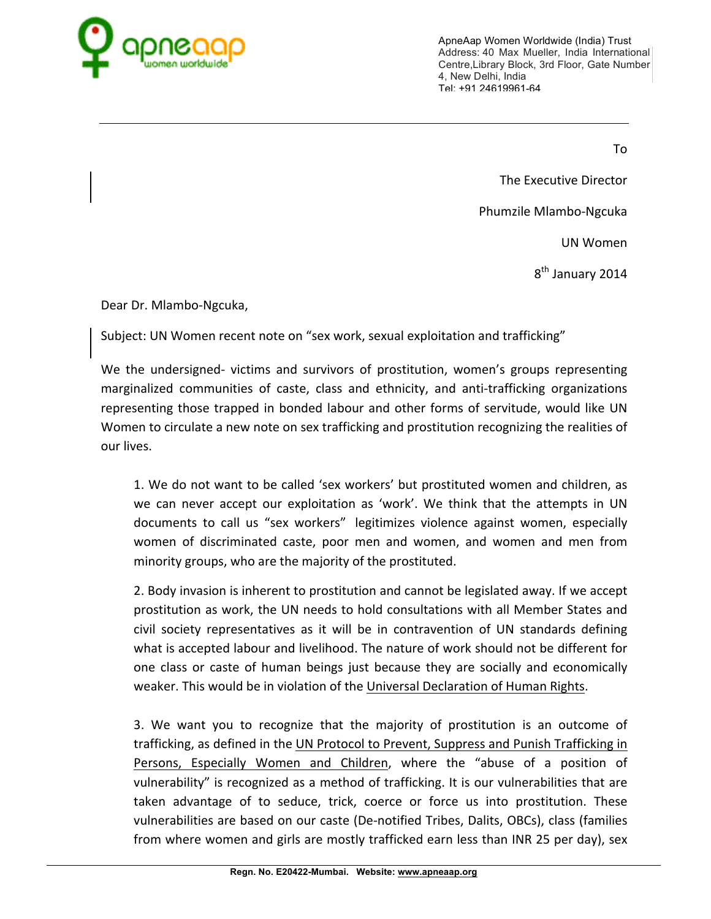

To

The Executive Director

Phumzile Mlambo-Ngcuka

UN Women

8<sup>th</sup> January 2014

Dear Dr. Mlambo-Ngcuka,

Subject: UN Women recent note on "sex work, sexual exploitation and trafficking"

We the undersigned- victims and survivors of prostitution, women's groups representing marginalized communities of caste, class and ethnicity, and anti-trafficking organizations representing those trapped in bonded labour and other forms of servitude, would like UN Women to circulate a new note on sex trafficking and prostitution recognizing the realities of our lives.

1. We do not want to be called 'sex workers' but prostituted women and children, as we can never accept our exploitation as 'work'. We think that the attempts in UN documents to call us "sex workers" legitimizes violence against women, especially women of discriminated caste, poor men and women, and women and men from minority groups, who are the majority of the prostituted.

2. Body invasion is inherent to prostitution and cannot be legislated away. If we accept prostitution as work, the UN needs to hold consultations with all Member States and civil society representatives as it will be in contravention of UN standards defining what is accepted labour and livelihood. The nature of work should not be different for one class or caste of human beings just because they are socially and economically weaker. This would be in violation of the Universal Declaration of Human Rights.

3. We want you to recognize that the majority of prostitution is an outcome of trafficking, as defined in the UN Protocol to Prevent, Suppress and Punish Trafficking in Persons, Especially Women and Children, where the "abuse of a position of vulnerability" is recognized as a method of trafficking. It is our vulnerabilities that are taken advantage of to seduce, trick, coerce or force us into prostitution. These vulnerabilities are based on our caste (De-notified Tribes, Dalits, OBCs), class (families from where women and girls are mostly trafficked earn less than INR 25 per day), sex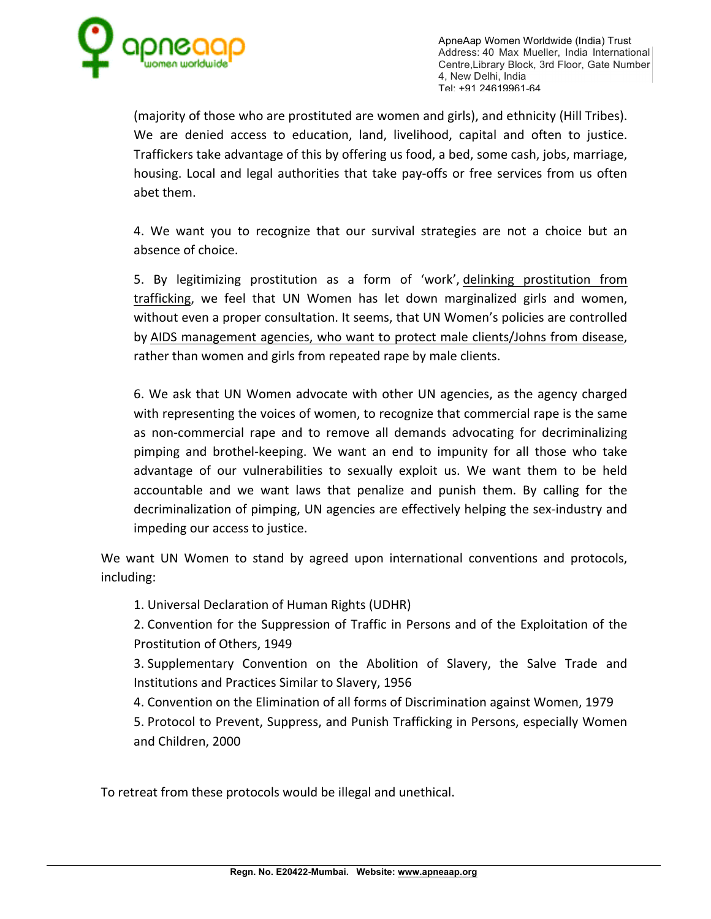

(majority of those who are prostituted are women and girls), and ethnicity (Hill Tribes). We are denied access to education, land, livelihood, capital and often to justice. Traffickers take advantage of this by offering us food, a bed, some cash, jobs, marriage, housing. Local and legal authorities that take pay-offs or free services from us often abet them.

4. We want you to recognize that our survival strategies are not a choice but an absence of choice.

5. By legitimizing prostitution as a form of 'work', delinking prostitution from trafficking, we feel that UN Women has let down marginalized girls and women, without even a proper consultation. It seems, that UN Women's policies are controlled by AIDS management agencies, who want to protect male clients/Johns from disease, rather than women and girls from repeated rape by male clients.

6. We ask that UN Women advocate with other UN agencies, as the agency charged with representing the voices of women, to recognize that commercial rape is the same as non-commercial rape and to remove all demands advocating for decriminalizing pimping and brothel-keeping. We want an end to impunity for all those who take advantage of our vulnerabilities to sexually exploit us. We want them to be held accountable and we want laws that penalize and punish them. By calling for the decriminalization of pimping, UN agencies are effectively helping the sex-industry and impeding our access to justice.

We want UN Women to stand by agreed upon international conventions and protocols, including:

1. Universal Declaration of Human Rights (UDHR)

2. Convention for the Suppression of Traffic in Persons and of the Exploitation of the Prostitution of Others, 1949

3. Supplementary Convention on the Abolition of Slavery, the Salve Trade and Institutions and Practices Similar to Slavery, 1956

4. Convention on the Elimination of all forms of Discrimination against Women, 1979

5. Protocol to Prevent, Suppress, and Punish Trafficking in Persons, especially Women and Children, 2000

To retreat from these protocols would be illegal and unethical.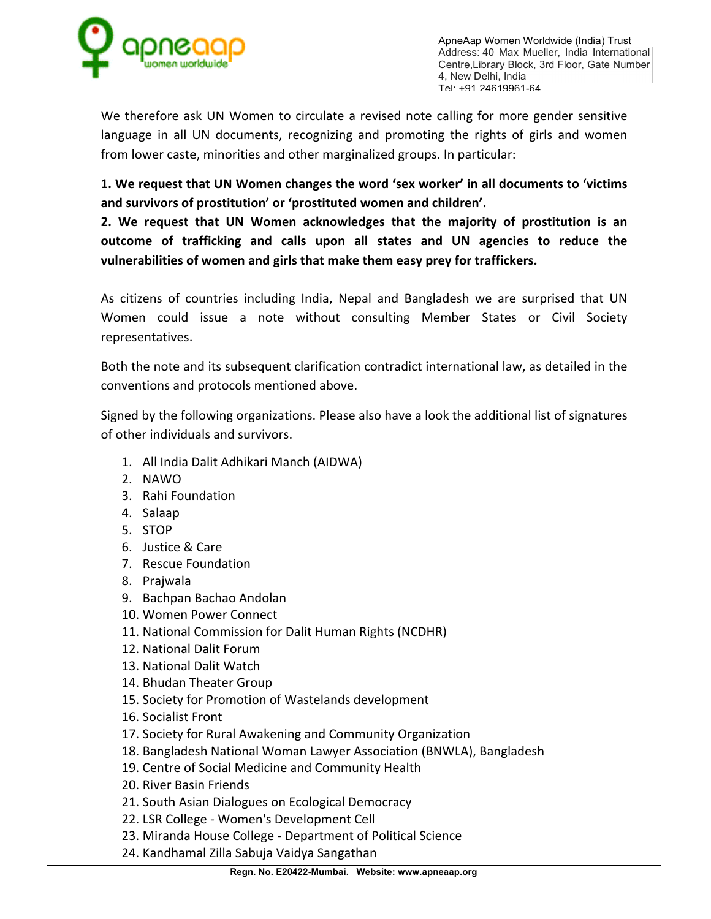

We therefore ask UN Women to circulate a revised note calling for more gender sensitive language in all UN documents, recognizing and promoting the rights of girls and women from lower caste, minorities and other marginalized groups. In particular:

**1. We request that UN Women changes the word 'sex worker' in all documents to 'victims and survivors of prostitution' or 'prostituted women and children'.**

**2. We request that UN Women acknowledges that the majority of prostitution is an outcome of trafficking and calls upon all states and UN agencies to reduce the vulnerabilities of women and girls that make them easy prey for traffickers.**

As citizens of countries including India, Nepal and Bangladesh we are surprised that UN Women could issue a note without consulting Member States or Civil Society representatives.

Both the note and its subsequent clarification contradict international law, as detailed in the conventions and protocols mentioned above.

Signed by the following organizations. Please also have a look the additional list of signatures of other individuals and survivors.

- 1. All India Dalit Adhikari Manch (AIDWA)
- 2. NAWO
- 3. Rahi Foundation
- 4. Salaap
- 5. STOP
- 6. Justice & Care
- 7. Rescue Foundation
- 8. Prajwala
- 9. Bachpan Bachao Andolan
- 10. Women Power Connect
- 11. National Commission for Dalit Human Rights (NCDHR)
- 12. National Dalit Forum
- 13. National Dalit Watch
- 14. Bhudan Theater Group
- 15. Society for Promotion of Wastelands development
- 16. Socialist Front
- 17. Society for Rural Awakening and Community Organization
- 18. Bangladesh National Woman Lawyer Association (BNWLA), Bangladesh
- 19. Centre of Social Medicine and Community Health
- 20. River Basin Friends
- 21. South Asian Dialogues on Ecological Democracy
- 22. LSR College Women's Development Cell
- 23. Miranda House College Department of Political Science
- 24. Kandhamal Zilla Sabuja Vaidya Sangathan